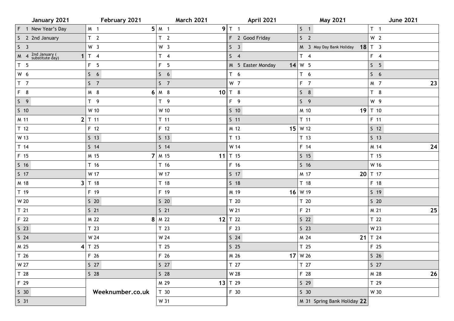| January 2021                              | February 2021    | <b>March 2021</b> | April 2021        | <b>May 2021</b>             | <b>June 2021</b> |
|-------------------------------------------|------------------|-------------------|-------------------|-----------------------------|------------------|
| F 1 New Year's Day                        | M 1              | $5 \mid M \mid 1$ | $9$ T 1           | $S \quad 1$                 | T <sub>1</sub>   |
| S 2 2nd January                           | T <sub>2</sub>   | T <sub>2</sub>    | F 2 Good Friday   | S <sub>2</sub>              | W <sub>2</sub>   |
| S <sub>3</sub>                            | W <sub>3</sub>   | W <sub>3</sub>    | S <sub>3</sub>    | M 3 May Day Bank Holiday    | $18$ T 3         |
| $M$ 4 $2nd$ January (substitute day)<br>1 | T <sub>4</sub>   | $T \quad 4$       | $S \quad 4$       | $T \quad 4$                 | $F \quad 4$      |
| T <sub>5</sub>                            | F <sub>5</sub>   | F <sub>5</sub>    | M 5 Easter Monday | $14$ W 5                    | S <sub>5</sub>   |
| W 6                                       | S <sub>6</sub>   | $5\quad 6$        | T <sub>6</sub>    | T <sub>6</sub>              | S <sub>6</sub>   |
| T <sub>7</sub>                            | S <sub>7</sub>   | S <sub>7</sub>    | W 7               | $F$ 7                       | M 7<br>23        |
| F 8                                       | M 8              | $6 \mid M \mid 8$ | 10 $T$ 8          | $S$ 8                       | T <sub>8</sub>   |
| $S \quad 9$                               | T <sub>9</sub>   | T9                | $F \quad 9$       | $S \quad 9$                 | W 9              |
| $S$ 10                                    | W 10             | W 10              | $S$ 10            | M 10                        | 19 $T$ 10        |
| M 11                                      | $2$ T 11         | $T$ 11            | $S$ 11            | $T$ 11                      | F 11             |
| T <sub>12</sub>                           | F 12             | $F$ 12            | M 12              | $15$ W 12                   | $S$ 12           |
| W 13                                      | $S$ 13           | $S$ 13            | T 13              | T <sub>13</sub>             | 5 <sub>13</sub>  |
| T 14                                      | $S$ 14           | $5$ 14            | W 14              | F 14                        | 24<br>M 14       |
| F 15                                      | M 15             | $7 \mid M$ 15     | 11 $T$ 15         | $S$ 15                      | T <sub>15</sub>  |
| $S$ 16                                    | T 16             | T <sub>16</sub>   | F 16              | S <sub>16</sub>             | W 16             |
| $S$ 17                                    | W 17             | W 17              | $S$ 17            | M 17                        | 20 $T$ 17        |
| M 18<br>3                                 | T 18             | T <sub>18</sub>   | $S$ 18            | T <sub>18</sub>             | F 18             |
| T 19                                      | F 19             | F 19              | M 19              | $16$ W 19                   | $S$ 19           |
| W 20                                      | $S$ 20           | $S$ 20            | T 20              | T 20                        | $S$ 20           |
| T 21                                      | S <sub>21</sub>  | $S$ 21            | W 21              | F 21                        | 25<br>M 21       |
| F 22                                      | M 22             | $8 \mid M$ 22     | 12 $T$ 22         | S <sub>22</sub>             | T 22             |
| $S$ 23                                    | T 23             | T <sub>23</sub>   | F 23              | $S$ 23                      | W 23             |
| S <sub>24</sub>                           | W 24             | W 24              | $S$ 24            | M 24                        | 21 $T$ 24        |
| M 25                                      | $4$ T 25         | T <sub>25</sub>   | S <sub>25</sub>   | T 25                        | F 25             |
| T 26                                      | F 26             | F 26              | M 26              | $17$ W 26                   | $S$ 26           |
| W 27                                      | S <sub>27</sub>  | $S$ 27            | T 27              | T 27                        | $S$ 27           |
| T 28                                      | $S$ 28           | $S$ 28            | W 28              | F 28                        | $26$<br>M 28     |
| F 29                                      |                  | M 29              | 13 $T$ 29         | $S$ 29                      | T 29             |
| S <sub>30</sub>                           | Weeknumber.co.uk | T 30              | F 30              | S <sub>30</sub>             | W 30             |
| S <sub>31</sub>                           |                  | W 31              |                   | M 31 Spring Bank Holiday 22 |                  |